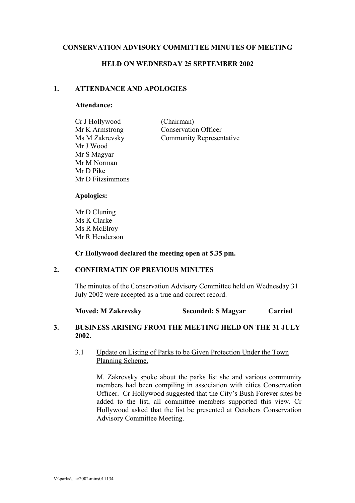## **CONSERVATION ADVISORY COMMITTEE MINUTES OF MEETING**

### **HELD ON WEDNESDAY 25 SEPTEMBER 2002**

# **1. ATTENDANCE AND APOLOGIES**

#### **Attendance:**

| Cr J Hollywood   | (Chairman)                      |
|------------------|---------------------------------|
| Mr K Armstrong   | <b>Conservation Officer</b>     |
| Ms M Zakrevsky   | <b>Community Representative</b> |
| Mr J Wood        |                                 |
| Mr S Magyar      |                                 |
| Mr M Norman      |                                 |
| Mr D Pike        |                                 |
| Mr D Fitzsimmons |                                 |

#### **Apologies:**

Mr D Cluning Ms K Clarke Ms R McElroy Mr R Henderson

**Cr Hollywood declared the meeting open at 5.35 pm.** 

### **2. CONFIRMATIN OF PREVIOUS MINUTES**

 The minutes of the Conservation Advisory Committee held on Wednesday 31 July 2002 were accepted as a true and correct record.

**Moved: M Zakrevsky Seconded: S Magyar Carried Carried** 

## **3. BUSINESS ARISING FROM THE MEETING HELD ON THE 31 JULY 2002.**

### 3.1 Update on Listing of Parks to be Given Protection Under the Town Planning Scheme.

M. Zakrevsky spoke about the parks list she and various community members had been compiling in association with cities Conservation Officer. Cr Hollywood suggested that the City's Bush Forever sites be added to the list, all committee members supported this view. Cr Hollywood asked that the list be presented at Octobers Conservation Advisory Committee Meeting.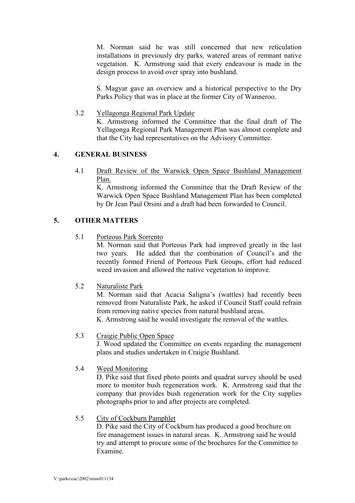M. Norman said he was still concerned that new reticulation installations in previously dry parks, watered areas of remnant native vegetation. K. Armstrong said that every endeavour is made in the design process to avoid over spray into bushland.

S. Magyar gave an overview and a historical perspective to the Dry Parks Policy that was in place at the former City of Wanneroo.

3.2 Yellagonga Regional Park Update

K. Armstrong informed the Committee that the final draft of The Yellagonga Regional Park Management Plan was almost complete and that the City had representatives on the Advisory Committee.

## **4. GENERAL BUSINESS**

4.1 Draft Review of the Warwick Open Space Bushland Management Plan.

K. Armstrong informed the Committee that the Draft Review of the Warwick Open Space Bushland Management Plan has been completed by Dr Jean Paul Orsini and a draft had been forwarded to Council.

## **5. OTHER MATTERS**

5.1 Porteous Park Sorrento

M. Norman said that Porteous Park had improved greatly in the last two years. He added that the combination of Council's and the recently formed Friend of Porteous Park Groups, effort had reduced weed invasion and allowed the native vegetation to improve.

5.2 Naturaliste Park

M. Norman said that Acacia Saligna's (wattles) had recently been removed from Naturaliste Park, he asked if Council Staff could refrain from removing native species from natural bushland areas. K. Armstrong said he would investigate the removal of the wattles.

#### 5.3 Craigie Public Open Space

J. Wood updated the Committee on events regarding the management plans and studies undertaken in Craigie Bushland.

5.4 Weed Monitoring

D. Pike said that fixed photo points and quadrat survey should be used more to monitor bush regeneration work. K. Armstrong said that the company that provides bush regeneration work for the City supplies photographs prior to and after projects are completed.

#### 5.5 City of Cockburn Pamphlet

 D. Pike said the City of Cockburn has produced a good brochure on fire management issues in natural areas. K. Armstrong said he would try and attempt to procure some of the brochures for the Committee to Examine.